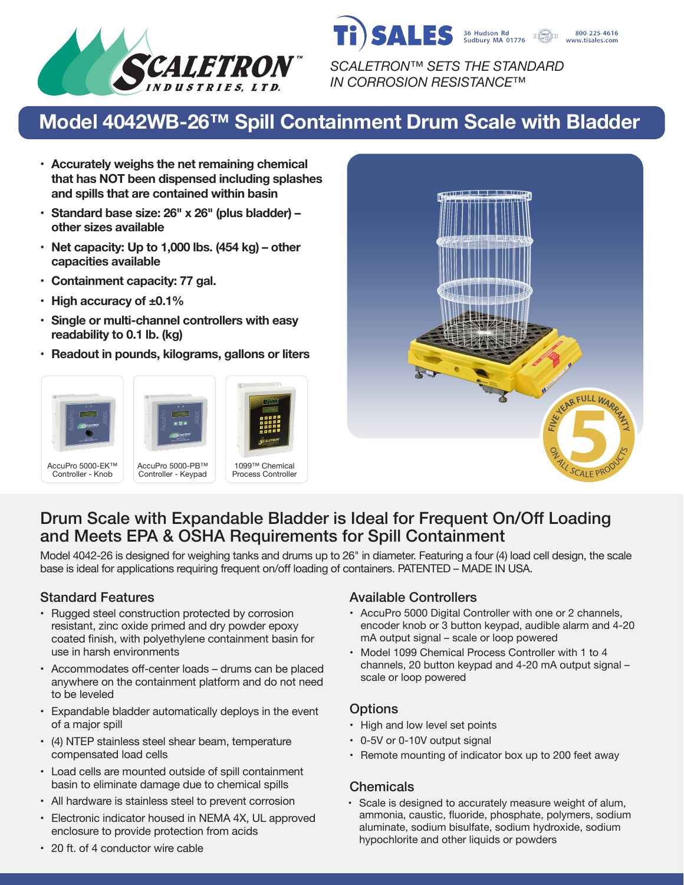

*SCALETRON™ SETS THE STANDARD IN CORROSION RESISTANCE™*

36 Hudson Rd<br>Sudbury MA 01776

800-225-4616 www.tisales.com

**SALES** 

# **Model 4042WB-26™ Spill Containment Drum Scale with Bladder**

- **• Accurately weighs the net remaining chemical that has NOT been dispensed including splashes and spills that are contained within basin**
- **• Standard base size: 26" x 26" (plus bladder) – other sizes available**
- **• Net capacity: Up to 1,000 lbs. (454 kg) other capacities available**
- **• Containment capacity: 77 gal.**
- **• High accuracy of ±0.1%**
- **• Single or multi-channel controllers with easy readability to 0.1 lb. (kg)**
- **• Readout in pounds, kilograms, gallons or liters**









## Drum Scale with Expandable Bladder is Ideal for Frequent On/Off Loading and Meets EPA & OSHA Requirements for Spill Containment

Model 4042-26 is designed for weighing tanks and drums up to 26" in diameter. Featuring a four (4) load cell design, the scale base is ideal for applications requiring frequent on/off loading of containers. PATENTED – MADE IN USA.

- Rugged steel construction protected by corrosion resistant, zinc oxide primed and dry powder epoxy coated finish, with polyethylene containment basin for use in harsh environments
- Accommodates off-center loads drums can be placed anywhere on the containment platform and do not need to be leveled
- Expandable bladder automatically deploys in the event of a major spill
- (4) NTEP stainless steel shear beam, temperature compensated load cells
- Load cells are mounted outside of spill containment basin to eliminate damage due to chemical spills
- All hardware is stainless steel to prevent corrosion
- Electronic indicator housed in NEMA 4X, UL approved enclosure to provide protection from acids

#### Standard Features **Available Controllers** Available Controllers

- AccuPro 5000 Digital Controller with one or 2 channels, encoder knob or 3 button keypad, audible alarm and 4-20 mA output signal – scale or loop powered
- Model 1099 Chemical Process Controller with 1 to 4 channels, 20 button keypad and 4-20 mA output signal – scale or loop powered

### **Options**

- High and low level set points
- 0-5V or 0-10V output signal
- Remote mounting of indicator box up to 200 feet away

#### **Chemicals**

• Scale is designed to accurately measure weight of alum, ammonia, caustic, fluoride, phosphate, polymers, sodium aluminate, sodium bisulfate, sodium hydroxide, sodium hypochlorite and other liquids or powders

• 20 ft. of 4 conductor wire cable